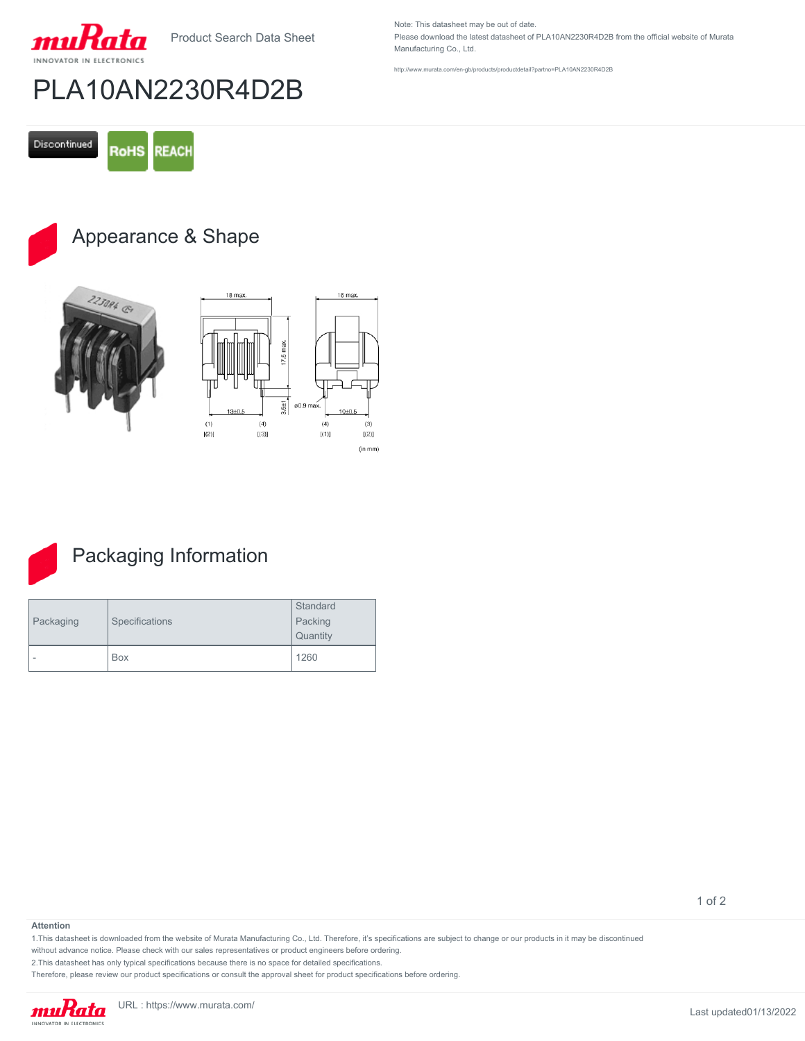

Product Search Data Sheet

# PLA10AN2230R4D2B

Discontinued **RoHS REACH** 

## Appearance & Shape







### Packaging Information

| Packaging | Specifications | Standard<br>Packing<br>Quantity |
|-----------|----------------|---------------------------------|
| -         | Box            | 1260                            |

#### **Attention**

1.This datasheet is downloaded from the website of Murata Manufacturing Co., Ltd. Therefore, it's specifications are subject to change or our products in it may be discontinued

without advance notice. Please check with our sales representatives or product engineers before ordering.

2.This datasheet has only typical specifications because there is no space for detailed specifications.

Therefore, please review our product specifications or consult the approval sheet for product specifications before ordering.

Note: This datasheet may be out of date. Please download the latest datasheet of PLA10AN2230R4D2B from the official website of Murata Manufacturing Co., Ltd.

<http://www.murata.com/en-gb/products/productdetail?partno=PLA10AN2230R4D2B>

1 of 2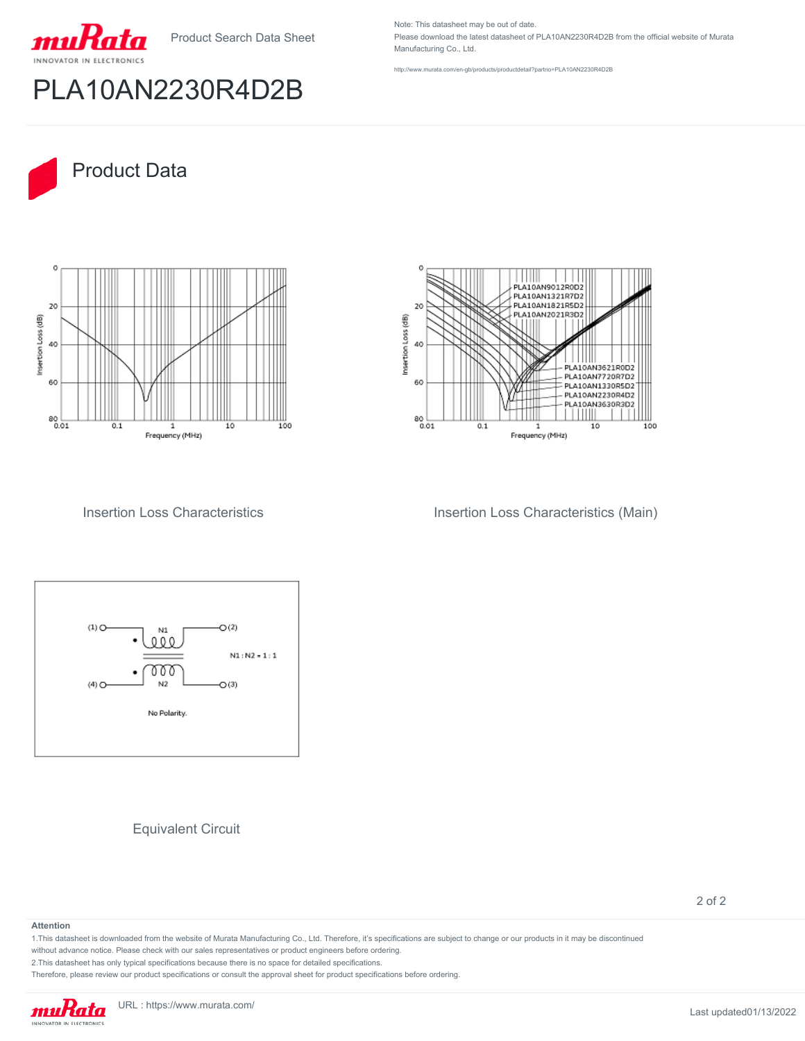Product Search Data Sheet



## PLA10AN2230R4D2B

Note: This datasheet may be out of date. Please download the latest datasheet of PLA10AN2230R4D2B from the official website of Murata Manufacturing Co., Ltd.

<http://www.murata.com/en-gb/products/productdetail?partno=PLA10AN2230R4D2B>



40

60

80<br>0.01

 $0.1$ 





Frequency (MHz)

 $\overline{10}$ 

 $\frac{1}{100}$ 

Insertion Loss Characteristics **Insertion Loss Characteristics (Main)** 



Equivalent Circuit

2 of 2

#### **Attention**

1.This datasheet is downloaded from the website of Murata Manufacturing Co., Ltd. Therefore, it's specifications are subject to change or our products in it may be discontinued

without advance notice. Please check with our sales representatives or product engineers before ordering.

2.This datasheet has only typical specifications because there is no space for detailed specifications.

Therefore, please review our product specifications or consult the approval sheet for product specifications before ordering.